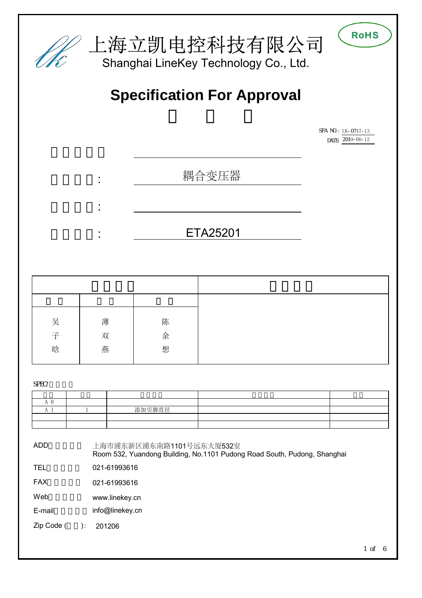

| 吴 | 薄 | 陈 |
|---|---|---|
| 子 | 双 | 余 |
| 晗 | 燕 | 想 |
|   |   |   |

SPEC/

|  | 添加引脚直径 |  |
|--|--------|--|
|  |        |  |
|  |        |  |

ADD(地址):

上海市浦东新区浦东南路1101号远东大厦532室 Room 532, Yuandong Building, No.1101 Pudong Road South, Pudong, Shanghai

TEL 021-61993616

FAX 021-61993616

Web [www.linekey.cn](http://www.linekey.cn)

E-mail [info@linekey.cn](mailto:info@linekey.cn)

Zip Code (  $): 201206$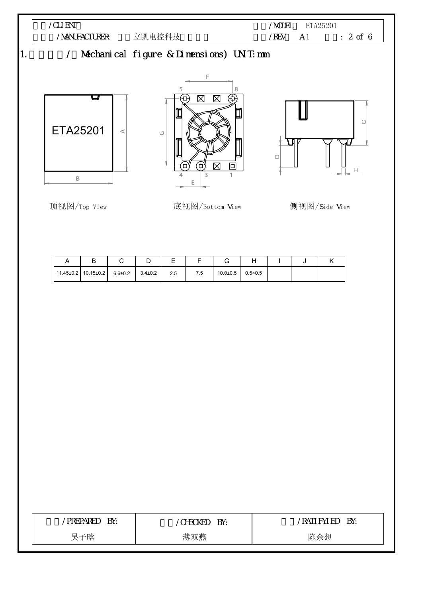

| -                               |               | ∽             | -   |     |              |                  |  |  |
|---------------------------------|---------------|---------------|-----|-----|--------------|------------------|--|--|
| $11.45 \pm 0.2$ 10.15 $\pm$ 0.2 | $6.6{\pm}0.2$ | $3.4 \pm 0.2$ | 2.5 | 7.5 | $10.0 + 0.5$ | $0.5 \times 0.5$ |  |  |

| 'PREPARED | BY:      | BY:         |
|-----------|----------|-------------|
| BY:       | 'CHECKED | RATI FYI ED |
| 吴子晗       | 薄双燕      | 陈余想         |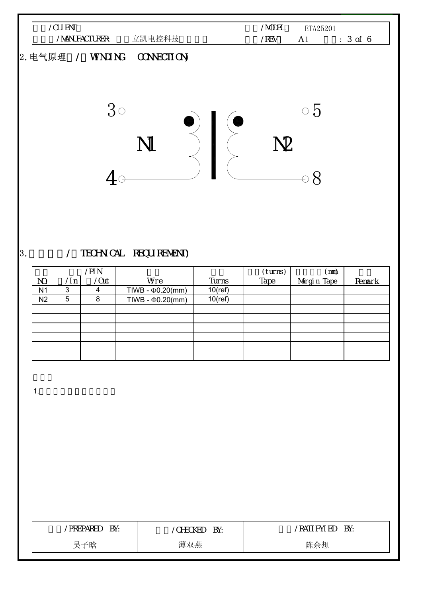

## 3. / TECHNICAL REQUIREMENT)

|                |      | /pi n |                        |            | (turns) | (mm)        |        |
|----------------|------|-------|------------------------|------------|---------|-------------|--------|
| NO.            | /I n | /Qut  | Wre                    | Turns      | Tape    | Margin Tape | Remark |
| N <sub>1</sub> | 3    | 4     | TIWB - $\Phi$ 0.20(mm) | $10$ (ref) |         |             |        |
| N <sub>2</sub> | 5    | 8     | TIWB - $\Phi$ 0.20(mm) | $10$ (ref) |         |             |        |
|                |      |       |                        |            |         |             |        |
|                |      |       |                        |            |         |             |        |
|                |      |       |                        |            |         |             |        |
|                |      |       |                        |            |         |             |        |
|                |      |       |                        |            |         |             |        |
|                |      |       |                        |            |         |             |        |

1.  $\blacksquare$ 

| BY:             | BY:      | BY:         |
|-----------------|----------|-------------|
| <b>PREPARED</b> | /CHECKED | rati fyl ed |
| 吴子晗             | 薄双燕      | 陈余想         |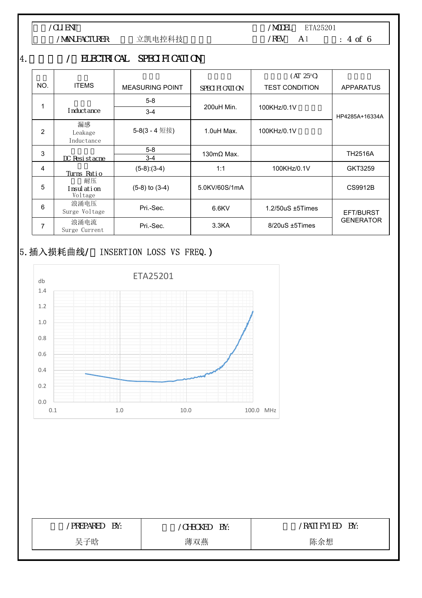

/MANUFACTURER: 立凯电控科技

/MODEL ETA25201 版本/REV: A 1 页数: 4 of 6

## 4. / ELECTRICAL SPECIFICATION

|     |                             |                        |                    | $(AT 25^{\circ}C)$     |                  |  |
|-----|-----------------------------|------------------------|--------------------|------------------------|------------------|--|
| NO. | <b>ITEMS</b>                | <b>MEASURING POINT</b> | SPECIFICATION      | <b>TEST CONDITION</b>  | <b>APPARATUS</b> |  |
|     |                             | $5-8$                  |                    |                        |                  |  |
| 1   | I nduct ance                | $3 - 4$                | 200uH Min.         | 100KHz/0.1V            | HP4285A+16334A   |  |
| 2   | 漏感<br>Leakage<br>Inductance | 5-8(3 - 4 短接)          | $1.0$ uH Max.      | 100KHz/0.1V            |                  |  |
| 3   | DC Resistacne               | $5 - 8$<br>$3 - 4$     | 130m $\Omega$ Max. |                        | <b>TH2516A</b>   |  |
| 4   | Turns Ratio                 | $(5-8):(3-4)$          | 1:1                | 100KHz/0.1V            | GKT3259          |  |
| 5   | 耐压<br>Insulation<br>Voltage | $(5-8)$ to $(3-4)$     | 5.0KV/60S/1mA      |                        | <b>CS9912B</b>   |  |
| 6   | 浪涌电压<br>Surge Voltage       | Pri.-Sec.              | 6.6KV              | $1.2/50uS \pm 5$ Times | EFT/BURST        |  |
| 7   | 浪涌电流<br>Surge Current       | Pri.-Sec.              | 3.3 <sub>K</sub> A | 8/20uS ±5Times         | <b>GENERATOR</b> |  |

## 5.插入损耗曲线/(INSERTION LOSS VS FREQ.)



| /PREPARED BY: | CHECKED<br>BY: | /Rati fyi ed By: |
|---------------|----------------|------------------|
| 吴子晗           | 薄双燕            | 陈余想              |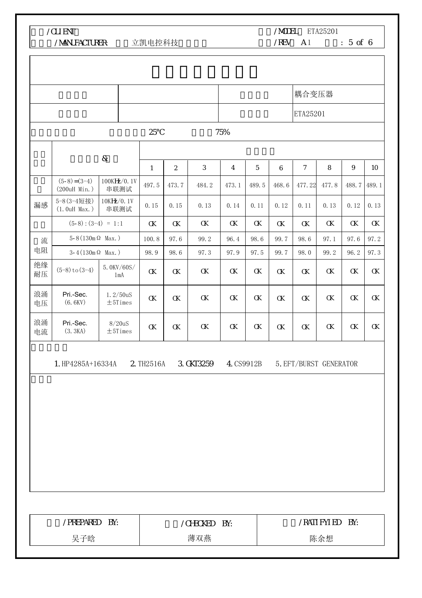客户/CLIENT:

/MANUFACTURER: 立凯电控科技

/MODEL ETA25201

 $/REV$  A 1  $\therefore$  5 of 6

 $\overline{1}$ 

|                                                                                      |                                      |                          |  |              |                |                |          |          |          | 耦合变压器            |                  |          |                 |
|--------------------------------------------------------------------------------------|--------------------------------------|--------------------------|--|--------------|----------------|----------------|----------|----------|----------|------------------|------------------|----------|-----------------|
|                                                                                      |                                      |                          |  |              |                |                |          |          |          | ETA25201         |                  |          |                 |
| 25                                                                                   |                                      |                          |  |              |                |                | 75%      |          |          |                  |                  |          |                 |
|                                                                                      |                                      |                          |  |              |                |                |          |          |          |                  |                  |          |                 |
|                                                                                      |                                      | $\&$                     |  | $\mathbf{1}$ | $\overline{2}$ | $\mathfrak{Z}$ | 4        | 5        | 6        | $\boldsymbol{7}$ | 8                | 9        | 10 <sup>°</sup> |
|                                                                                      | $(5-8) = (3-4)$<br>(200uH Min.)      | 100KHz/0.1V<br>串联测试      |  | 497.5        | 473.7          | 484.2          | 473.1    | 489.5    | 468.6    | 477.22           | 477.8            | 488.7    | 489.1           |
| 漏感                                                                                   | 5-8 (3-4短接)<br>(1.0uH Max.)          | 10KHz/0.1V<br>串联测试       |  | 0.15         | 0.15           | 0.13           | 0.14     | 0.11     | 0.12     | 0.11             | 0.13             | 0.12     | 0.13            |
|                                                                                      | $(5-8):(3-4) = 1:1$                  |                          |  | $\alpha$     | $\alpha$       | $\alpha$       | $\alpha$ | αк       | $\alpha$ | $\alpha$         | $\alpha$         | $\alpha$ | $\alpha$        |
| 流                                                                                    | $5 - 8(130 \text{m}\,\Omega\,$ Max.) |                          |  | 100.8        | 97.6           | 99.2           | 96.4     | 98.6     | 99.7     | 98.6             | 97.1             | 97.6     | 97.2            |
| 电阻                                                                                   | $3-4(130 \text{m}\,\Omega$ Max.)     |                          |  | 98.9         | 98.6           | 97.3           | 97.9     | 97.5     | 99.7     | 98.0             | 99.2             | 96.2     | 97.3            |
| 绝缘<br>耐压                                                                             | $(5-8)$ to $(3-4)$                   | 5.0KV/60S/<br>1mA        |  | αк           | $\alpha$       | $\alpha$       | $\alpha$ | $\alpha$ | α        | $\alpha$         | α                | $\alpha$ | $\alpha$        |
| 浪涌<br>电压                                                                             | Pri.-Sec.<br>(6.6KV)                 | 1.2/50uS<br>$\pm$ 5Times |  | $\alpha$     | $\alpha$       | $\alpha$       | $\alpha$ | $\alpha$ | $\alpha$ | $\alpha$         | $\alpha$         | $\alpha$ | $\alpha$        |
| 浪涌<br>电流                                                                             | Pri.-Sec.<br>(3.3KA)                 | 8/20uS<br>$\pm$ 5Times   |  | $\alpha$     | $\alpha$       | $\alpha$       | $\alpha$ | $\alpha$ | α        | $\alpha$         | αк               | $\alpha$ | $\alpha$        |
| 1. HP4285A+16334A<br>2 TH2516A<br>3. GKT3259<br>4. CS9912B<br>5. EFT/BURST GENERATOR |                                      |                          |  |              |                |                |          |          |          |                  |                  |          |                 |
|                                                                                      | /PREPARED                            | BY:                      |  |              |                | /CHECKED       | BY:      |          |          |                  | /RATI FYI ED BY: |          |                 |
|                                                                                      | 吴子晗                                  |                          |  |              |                | 薄双燕            |          |          |          |                  | 陈余想              |          |                 |